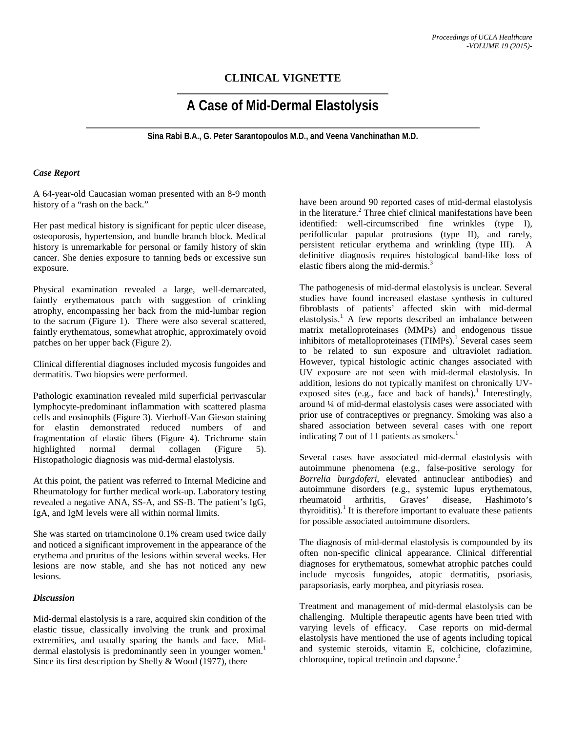# **CLINICAL VIGNETTE**

# **A Case of Mid-Dermal Elastolysis**

**Sina Rabi B.A., G. Peter Sarantopoulos M.D., and Veena Vanchinathan M.D.**

## *Case Report*

A 64-year-old Caucasian woman presented with an 8-9 month history of a "rash on the back."

Her past medical history is significant for peptic ulcer disease, osteoporosis, hypertension, and bundle branch block. Medical history is unremarkable for personal or family history of skin cancer. She denies exposure to tanning beds or excessive sun exposure.

Physical examination revealed a large, well-demarcated, faintly erythematous patch with suggestion of crinkling atrophy, encompassing her back from the mid-lumbar region to the sacrum (Figure 1). There were also several scattered, faintly erythematous, somewhat atrophic, approximately ovoid patches on her upper back (Figure 2).

Clinical differential diagnoses included mycosis fungoides and dermatitis. Two biopsies were performed.

Pathologic examination revealed mild superficial perivascular lymphocyte-predominant inflammation with scattered plasma cells and eosinophils (Figure 3). Vierhoff-Van Gieson staining for elastin demonstrated reduced numbers of and fragmentation of elastic fibers (Figure 4). Trichrome stain highlighted normal dermal collagen (Figure 5). Histopathologic diagnosis was mid-dermal elastolysis.

At this point, the patient was referred to Internal Medicine and Rheumatology for further medical work-up. Laboratory testing revealed a negative ANA, SS-A, and SS-B. The patient's IgG, IgA, and IgM levels were all within normal limits.

She was started on triamcinolone 0.1% cream used twice daily and noticed a significant improvement in the appearance of the erythema and pruritus of the lesions within several weeks. Her lesions are now stable, and she has not noticed any new lesions.

### *Discussion*

Mid-dermal elastolysis is a rare, acquired skin condition of the elastic tissue, classically involving the trunk and proximal extremities, and usually sparing the hands and face. Middermal elastolysis is predominantly seen in younger women.<sup>1</sup> Since its first description by Shelly & Wood (1977), there

have been around 90 reported cases of mid-dermal elastolysis in the literature.<sup>2</sup> Three chief clinical manifestations have been identified: well-circumscribed fine wrinkles (type I), perifollicular papular protrusions (type II), and rarely, persistent reticular erythema and wrinkling (type III). A definitive diagnosis requires histological band-like loss of elastic fibers along the mid-dermis.<sup>3</sup>

The pathogenesis of mid-dermal elastolysis is unclear. Several studies have found increased elastase synthesis in cultured fibroblasts of patients' affected skin with mid-dermal elastolysis.<sup>1</sup> A few reports described an imbalance between matrix metalloproteinases (MMPs) and endogenous tissue inhibitors of metalloproteinases  $(TIMPs).<sup>1</sup>$  Several cases seem to be related to sun exposure and ultraviolet radiation. However, typical histologic actinic changes associated with UV exposure are not seen with mid-dermal elastolysis. In addition, lesions do not typically manifest on chronically UVexposed sites (e.g., face and back of hands).<sup>1</sup> Interestingly, around ¼ of mid-dermal elastolysis cases were associated with prior use of contraceptives or pregnancy. Smoking was also a shared association between several cases with one report indicating 7 out of 11 patients as smokers. $<sup>1</sup>$ </sup>

Several cases have associated mid-dermal elastolysis with autoimmune phenomena (e.g., false-positive serology for *Borrelia burgdoferi*, elevated antinuclear antibodies) and autoimmune disorders (e.g., systemic lupus erythematous, rheumatoid arthritis, Graves' disease, Hashimoto's thyroiditis).<sup>1</sup> It is therefore important to evaluate these patients for possible associated autoimmune disorders.

The diagnosis of mid-dermal elastolysis is compounded by its often non-specific clinical appearance. Clinical differential diagnoses for erythematous, somewhat atrophic patches could include mycosis fungoides, atopic dermatitis, psoriasis, parapsoriasis, early morphea, and pityriasis rosea.

Treatment and management of mid-dermal elastolysis can be challenging. Multiple therapeutic agents have been tried with varying levels of efficacy. Case reports on mid-dermal elastolysis have mentioned the use of agents including topical and systemic steroids, vitamin E, colchicine, clofazimine, chloroquine, topical tretinoin and dapsone. $3$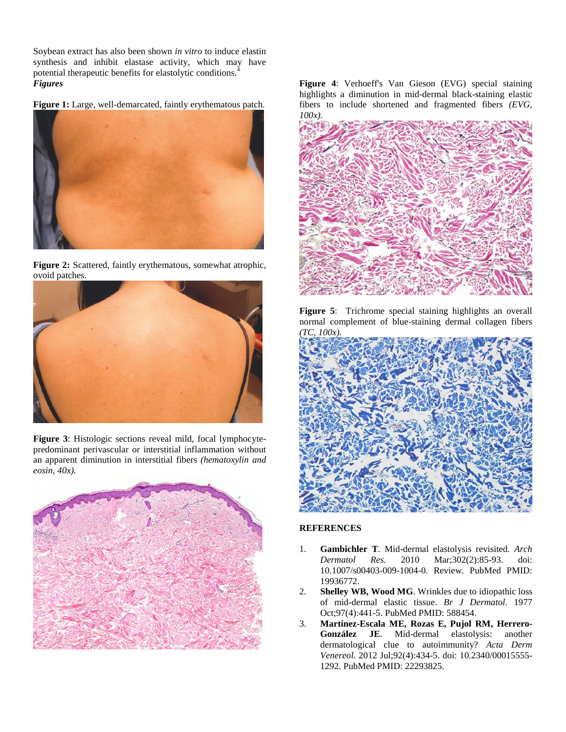Soybean extract has also been shown *in vitro* to induce elastin synthesis and inhibit elastase activity, which may have potential therapeutic benefits for elastolytic conditions.<sup>4</sup> *Figures*

**Figure 1:** Large, well-demarcated, faintly erythematous patch.







**Figure 3**: Histologic sections reveal mild, focal lymphocytepredominant perivascular or interstitial inflammation without an apparent diminution in interstitial fibers *(hematoxylin and eosin, 40x).* 



**Figure 4**: Verhoeff's Van Gieson (EVG) special staining highlights a diminution in mid-dermal black-staining elastic fibers to include shortened and fragmented fibers *(EVG, 100x).* 



**Figure 5**: Trichrome special staining highlights an overall normal complement of blue-staining dermal collagen fibers *(TC, 100x).* 



### **REFERENCES**

- 1. **Gambichler T**. Mid-dermal elastolysis revisited. *Arch Dermatol Res*. 2010 Mar;302(2):85-93. doi: 10.1007/s00403-009-1004-0. Review. PubMed PMID: 19936772.
- 2. **Shelley WB, Wood MG**. Wrinkles due to idiopathic loss of mid-dermal elastic tissue. *Br J Dermatol*. 1977 Oct;97(4):441-5. PubMed PMID: 588454.
- 3. **Martínez-Escala ME, Rozas E, Pujol RM, Herrero-González JE**. Mid-dermal elastolysis: another dermatological clue to autoimmunity? *Acta Derm Venereol*. 2012 Jul;92(4):434-5. doi: 10.2340/00015555- 1292. PubMed PMID: 22293825.